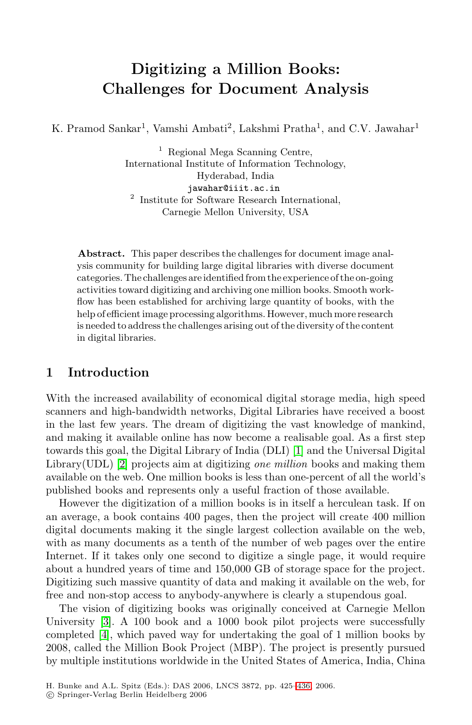# **Digitizing a Million Books: Challenges for Document Analysis**

K. Pramod Sankar<sup>1</sup>, Vamshi Ambati<sup>2</sup>, Lakshmi Pratha<sup>1</sup>, and C.V. Jawahar<sup>1</sup>

<sup>1</sup> Regional Mega Scanning Centre, International Institute of Information Technology, Hyderabad, India jawahar@iiit.ac.in <sup>2</sup> Institute for Software Research International, Carnegie Mellon University, USA

**Abstract.** This paper describes the challenges for document image analysis community for building large digital libraries with diverse document categories. The challenges are identified from the experience of the on-going activities toward digitizing and archiving one million books. Smooth workflow has been established for archiving large quantity of books, with the help of efficient image processing algorithms. However, much more research is needed to address the challenges arising out of the diversity of the content in digital libraries.

### **1 Introduction**

With the increased availability of economical digital storage media, high speed scanners and high-bandwidth networks, Digital Libraries have received a boost in the last few years. The dream of digitizing the vast knowledge of mankind, and making it available online has now become a realisable goal. As a first step towards this goal, the Digital Library of India (DLI) [1] and the Universal Digital Library(UDL) [2] projects aim at digitizing one million books and making them available on the web. One million books is less than one-percent of all the world's published books and represents only a useful fraction of those available.

However the digitization of a million books is in itself a herculean task. If on an average, a book contains 400 pages, then the project will create 400 million digital documents making it the single largest collection available on the web, with as many documents as a tenth of the number of web pages over the entire Internet. If it takes only one second to digitize a single page, it would require about a hundred years of time and 150,000 GB of storage space for the project. Digitizing such massive quantity of data and making it available on the web, for free and non-stop access to anyb[ody-](#page-11-0)anywhere is clearly a stupendous goal.

The vision of digitizing books was originally conceived at Carnegie Mellon University [3]. A 100 book and a 1000 book pilot projects were successfully completed [4], which paved way for undertaking the goal of 1 million books by 2008, called the Million Book Project (MBP). The project is presently pursued by multiple institutions worldwide in the United States of America, India, China

H. Bunke and A.L. Spitz (Eds.): DAS 2006, LNCS 3872, pp. 425–436, 2006.

c Springer-Verlag Berlin Heidelberg 2006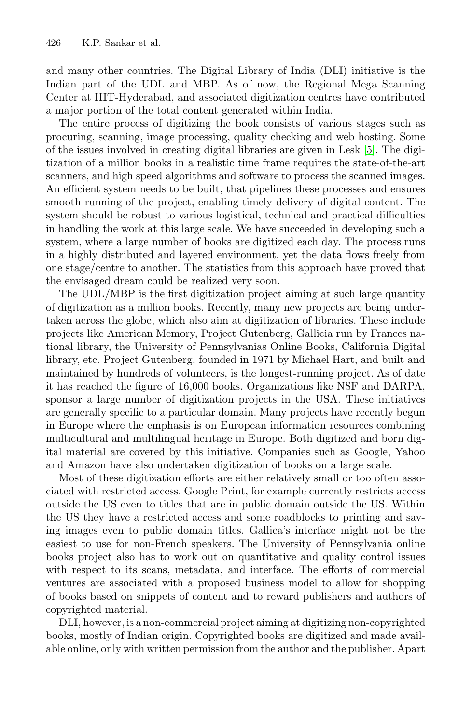and many other countries. The Digital Library of India (DLI) initiative is the Indian part of the UDL and MBP. As of now, the Regional Mega Scanning Center at IIIT-Hyderabad, and associated digitization centres have contributed a major portion of the total content generated within India.

The entire process of digitizing the book consists of various stages such as procuring, scanning, image processing, quality checking and web hosting. Some of the issues involved in creating digital libraries are given in Lesk [5]. The digitization of a million books in a realistic time frame requires the state-of-the-art scanners, and high speed algorithms and software to process the scanned images. An efficient system needs to be built, that pipelines these processes and ensures smooth running of the project, enabling timely delivery of digital content. The system should be robust to various logistical, technical and practical difficulties in handling the work at this large scale. We have succeeded in developing such a system, where a large number of books are digitized each day. The process runs in a highly distributed and layered environment, yet the data flows freely from one stage/centre to another. The statistics from this approach have proved that the envisaged dream could be realized very soon.

The UDL/MBP is the first digitization project aiming at such large quantity of digitization as a million books. Recently, many new projects are being undertaken across the globe, which also aim at digitization of libraries. These include projects like American Memory, Project Gutenberg, Gallicia run by Frances national library, the University of Pennsylvanias Online Books, California Digital library, etc. Project Gutenberg, founded in 1971 by Michael Hart, and built and maintained by hundreds of volunteers, is the longest-running project. As of date it has reached the figure of 16,000 books. Organizations like NSF and DARPA, sponsor a large number of digitization projects in the USA. These initiatives are generally specific to a particular domain. Many projects have recently begun in Europe where the emphasis is on European information resources combining multicultural and multilingual heritage in Europe. Both digitized and born digital material are covered by this initiative. Companies such as Google, Yahoo and Amazon have also undertaken digitization of books on a large scale.

Most of these digitization efforts are either relatively small or too often associated with restricted access. Google Print, for example currently restricts access outside the US even to titles that are in public domain outside the US. Within the US they have a restricted access and some roadblocks to printing and saving images even to public domain titles. Gallica's interface might not be the easiest to use for non-French speakers. The University of Pennsylvania online books project also has to work out on quantitative and quality control issues with respect to its scans, metadata, and interface. The efforts of commercial ventures are associated with a proposed business model to allow for shopping of books based on snippets of content and to reward publishers and authors of copyrighted material.

DLI, however, is a non-commercial project aiming at digitizing non-copyrighted books, mostly of Indian origin. Copyrighted books are digitized and made available online, only with written permission from the author and the publisher. Apart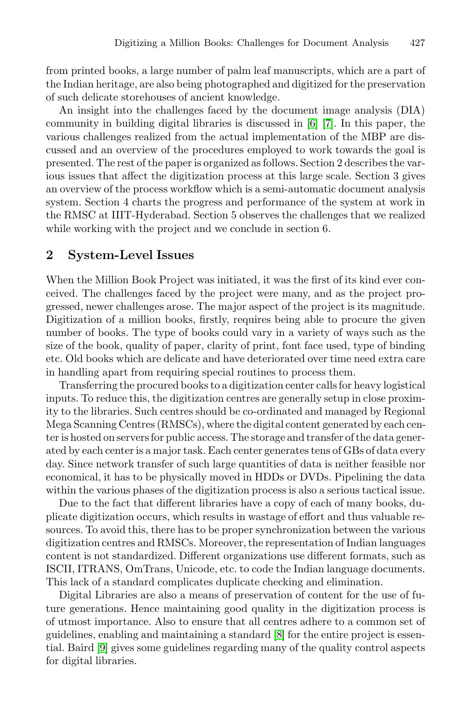from printed books, a large number of palm leaf manuscripts, which are a part of the Indian heritage, are also being photographed and digitized for the preservation of such delicate storehouses of ancient knowledge.

An insight into the challenges faced by the document image analysis (DIA) community in building digital libraries is discussed in [6] [7]. In this paper, the various challenges realized from the actual implementation of the MBP are discussed and an overview of the procedures employed to work towards the goal is presented. The rest of the paper is organized as follows. Section 2 describes the various issues that affect the digitization process at this large scale. Section 3 gives an overview of the process workflow which is a semi-automatic document analysis system. Section 4 charts the progress and performance of the system at work in the RMSC at IIIT-Hyderabad. Section 5 observes the challenges that we realized while working with the project and we conclude in section 6.

### **2 System-Level Issues**

When the Million Book Project was initiated, it was the first of its kind ever conceived. The challenges faced by the project were many, and as the project progressed, newer challenges arose. The major aspect of the project is its magnitude. Digitization of a million books, firstly, requires being able to procure the given number of books. The type of books could vary in a variety of ways such as the size of the book, quality of paper, clarity of print, font face used, type of binding etc. Old books which are delicate and have deteriorated over time need extra care in handling apart from requiring special routines to process them.

Transferring the procured books to a digitization center calls for heavy logistical inputs. To reduce this, the digitization centres are generally setup in close proximity to the libraries. Such centres should be co-ordinated and managed by Regional Mega Scanning Centres (RMSCs), where the digital content generated by each center is hosted on servers for public access. The storage and transfer of the data generated by each center is a major task. Each center generates tens of GBs of data every day. Since network transfer of such large quantities of data is neither feasible nor economical, it has to be physically moved in HDDs or DVDs. Pipelining the data within the various phases of the digitization process is also a serious tactical issue.

Due to the fact that different libraries have a copy of each of many books, duplicate digitization occurs, which results in wastage of effort and thus valuable resources. To avoid this, there has to be proper synchronization between the various digitization centres and RMS[Cs](#page-11-1). Moreover, the representation of Indian languages content is not standardized. Different organizations use different formats, such as ISCII, ITRANS, OmTrans, Unicode, etc. to code the Indian language documents. This lack of a standard complicates duplicate checking and elimination.

Digital Libraries are also a means of preservation of content for the use of future generations. Hence maintaining good quality in the digitization process is of utmost importance. Also to ensure that all centres adhere to a common set of guidelines, enabling and maintaining a standard [8] for the entire project is essential. Baird [9] gives some guidelines regarding many of the quality control aspects for digital libraries.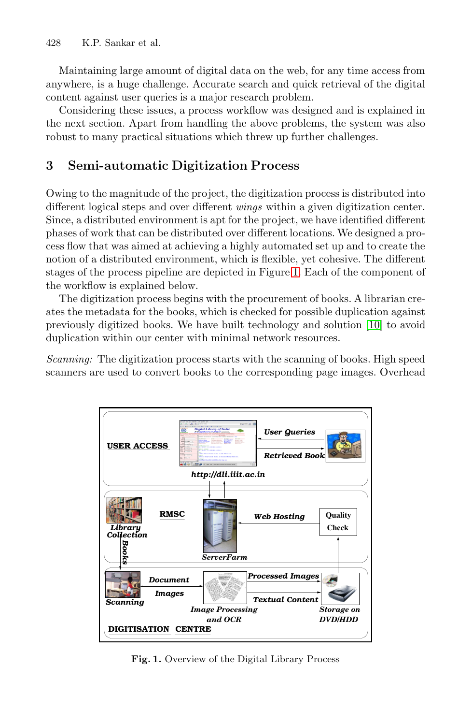Maintaining large amount of digital data on the web, for any time access from anywhere, is a huge challenge. Accurate search and quick retrieval of the digital content against user queries is a major research problem.

Considering these issues, a process workflow was designed and is explained in the next section. Apart from handling the above problems, the system was also robust to many practical situations which threw up further challenges.

## **3 Semi-automatic Digitization Process**

Owing to the magnitude of the project, the digitization process is distributed into different logical steps and over different wings within a given digitization center. Since, a distributed environment is apt for the project, we have identified different phases of work that can be distributed over differ[ent l](#page-11-2)ocations. We designed a process flow that was aimed at achieving a highly automated set up and to create the notion of a distributed environment, which is flexible, yet cohesive. The different stages of the process pipeline are depicted in Figure 1. Each of the component of the workflow is explained below.

The digitization process begins with the procurement of books. A librarian creates the metadata for the books, which is checked for possible duplication against previously digitized books. We have built technology and solution [10] to avoid duplication within our center with minimal network resources.

Scanning: The digitization process starts with the scanning of books. High speed scanners are used to convert books to the corresponding page images. Overhead



**Fig. 1.** Overview of the Digital Library Process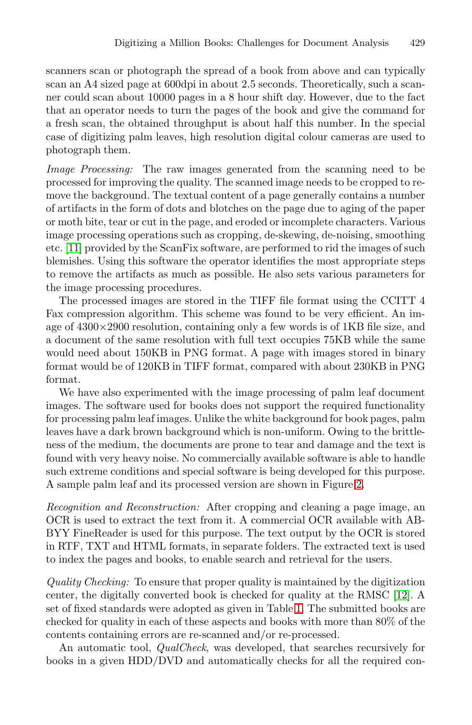scanners scan or photograph the spread of a book from above and can typically scan an A4 sized page at 600dpi in about 2.5 seconds. Theoretically, such a scanner could scan about 10000 pages in a 8 hour shift day. However, due to the fact that an operator needs to turn the pages of the book and give the command for a fresh scan, the obtained throughput is about half this number. In the special case of digitizing palm leaves, high resolution digital colour cameras are used to photograph them.

Image Processing: The raw images generated from the scanning need to be processed for improving the quality. The scanned image needs to be cropped to remove the background. The textual content of a page generally contains a number of artifacts in the form of dots and blotches on the page due to aging of the paper or moth bite, tear or cut in the page, and eroded or incomplete characters. Various image processing operations such as cropping, de-skewing, de-noising, smoothing etc. [11] provided by the ScanFix software, are performed to rid the images of such blemishes. Using this software the operator identifies the most appropriate steps to remove the artifacts as much as possible. He also sets various parameters for the image processing procedures.

The processed images are stored in the TIFF file format using the CCITT 4 Fax compression algorithm. This scheme was found to be very efficient. An image of  $4300\times2900$  resolution, containing only a few words is of 1KB file size, and a document of the same resolution with full text occupies 75KB while the same would need about 150KB in PNG format. A page with images stored in binary format would be of 120KB in TIFF format, compared with about 230KB in PNG format.

We have also experimented with the image [p](#page-5-0)rocessing of palm leaf document images. The software used for books does not support the required functionality for processing palm leaf images. Unlike the white background for book pages, palm leaves have a dark brown background which is non-uniform. Owing to the brittleness of the medium, the documents are prone to tear and damage and the text is found with very heavy noise. No commercially available software is able to handle such extreme conditions and special software is being developed for this purpose. A sample palm leaf and its processed version are shown in Figure 2.

Recognition and Reconstruction: After cropping and [clea](#page-11-3)ning a page image, an OCR is used to extract the text f[ro](#page-5-1)m it. A commercial OCR available with AB-BYY FineReader is used for this purpose. The text output by the OCR is stored in RTF, TXT and HTML formats, in separate folders. The extracted text is used to index the pages and books, to enable search and retrieval for the users.

Quality Checking: To ensure that proper quality is maintained by the digitization center, the digitally converted book is checked for quality at the RMSC [12]. A set of fixed standards were adopted as given in Table 1. The submitted books are checked for quality in each of these aspects and books with more than 80% of the contents containing errors are re-scanned and/or re-processed.

An automatic tool, *QualCheck*, was developed, that searches recursively for books in a given HDD/DVD and automatically checks for all the required con-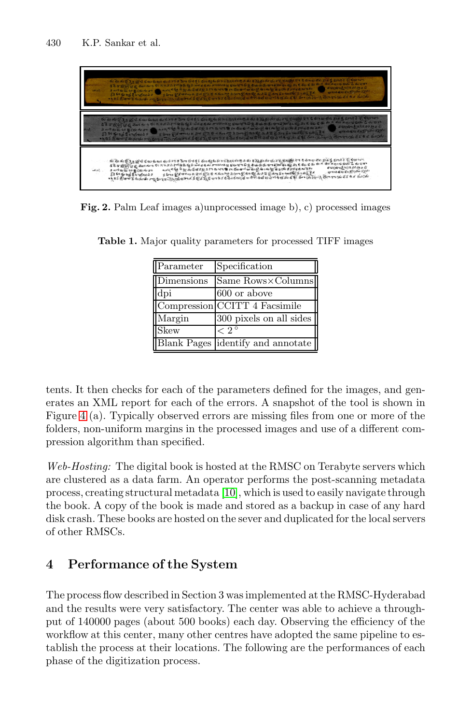<span id="page-5-1"></span><span id="page-5-0"></span>

**Fig. 2.** Palm Leaf images a)unprocessed image b), c) processed images

| Parameter  | Specification                    |
|------------|----------------------------------|
| Dimensions | Same Rows×Columns                |
| dpi        | 600 or above                     |
|            | Compression CCITT 4 Facsimile    |
| Margin     | 300 pixels on all sides          |
| Skew       | $< 2^{\circ}$                    |
|            | Blank Pages dentify and annotate |

**Table 1.** Major quality parameters for processed TIFF images

tents. It then checks for each of the parameters defined for the images, and generates an XML re[por](#page-11-2)t for each of the errors. A snapshot of the tool is shown in Figure 4 (a). Typically observed errors are missing files from one or more of the folders, non-uniform margins in the processed images and use of a different compression algorithm than specified.

Web-Hosting: The digital book is hosted at the RMSC on Terabyte servers which are clustered as a data farm. An operator performs the post-scanning metadata process, creating structural metadata [10], which is used to easily navigate through the book. A copy of the book is made and stored as a backup in case of any hard disk crash. These books are hosted on the sever and duplicated for the local servers of other RMSCs.

### **4 Performance of the System**

The process flow described in Section 3 was implemented atthe RMSC-Hyderabad and the results were very satisfactory. The center was able to achieve a throughput of 140000 pages (about 500 books) each day. Observing the efficiency of the workflow at this center, many other centres have adopted the same pipeline to establish the process at their locations. The following are the performances of each phase of the digitization process.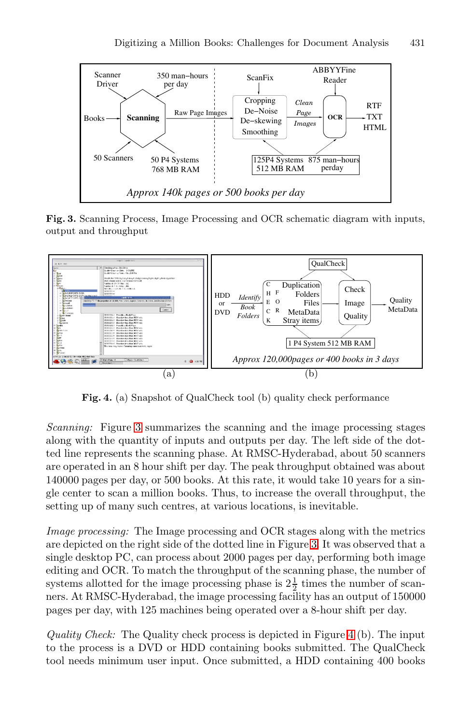

Digitizing a Million Books: Challenges for Document Analysis 431



<span id="page-6-0"></span>**Fig. 3.** Scanning Process, Image Processing and OCR schematic diagram with inputs, output and throughput



**Fig. 4.** (a) Snapshot of QualCheck tool (b) quality check performance

Scanning: Figure 3 summarizes the scanning and the image processing stages along with the quantity of inputs and outputs per day. The left side of the dotted line represents the scanning phas[e.](#page-6-0) At RMSC-Hyderabad, about 50 scanners are operated in an 8 hour shift per day. The peak throughput obtained was about 140000 pages per day, or 500 books. At this rate, it would take 10 years for a single center to scan a million books. Thus, to increase the overall throughput, the setting up of many such centres, at various locations, is inevitable.

Image processing: The Image processing and OCR stages along with the metrics are depicted on the right side of the dotted li[ne](#page-6-0) in Figure 3. It was observed that a single desktop PC, can process about 2000 pages per day, performing both image editing and OCR. To match the throughput of the scanning phase, the number of systems allotted for the image processing phase is  $2\frac{1}{2}$  times the number of scanners. At RMSC-Hyderabad, the image processing facility has an output of 150000 pages per day, with 125 machines being operated over a 8-hour shift per day.

*Quality Check:* The Quality check process is depicted in Figure 4 (b). The input to the process is a DVD or HDD containing books submitted. The QualCheck tool needs minimum user input. Once submitted, a HDD containing 400 books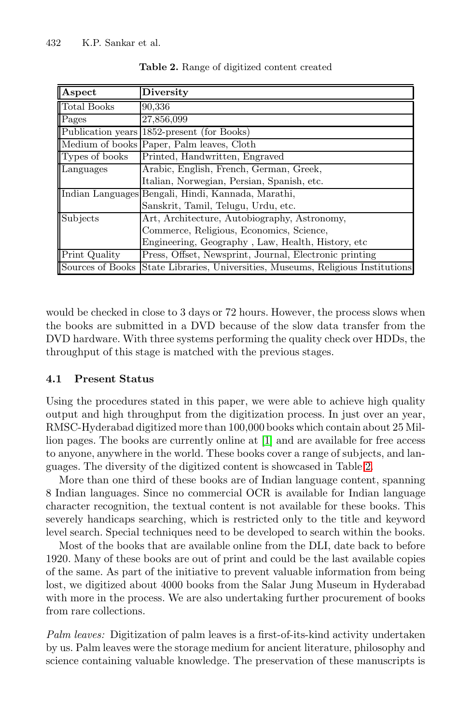|  |  |  | <b>Table 2.</b> Range of digitized content created |  |  |
|--|--|--|----------------------------------------------------|--|--|
|--|--|--|----------------------------------------------------|--|--|

| Aspect             | Diversity                                                                       |  |  |
|--------------------|---------------------------------------------------------------------------------|--|--|
| <b>Total Books</b> | 90,336                                                                          |  |  |
| Pages              | 27,856,099                                                                      |  |  |
|                    | Publication years 1852-present (for Books)                                      |  |  |
|                    | Medium of books Paper, Palm leaves, Cloth                                       |  |  |
| Types of books     | Printed, Handwritten, Engraved                                                  |  |  |
| Languages          | Arabic, English, French, German, Greek,                                         |  |  |
|                    | Italian, Norwegian, Persian, Spanish, etc.                                      |  |  |
|                    | Indian Languages Bengali, Hindi, Kannada, Marathi,                              |  |  |
|                    | Sanskrit, Tamil, Telugu, Urdu, etc.                                             |  |  |
| Subjects           | Art, Architecture, Autobiography, Astronomy,                                    |  |  |
|                    | Commerce, Religious, Economics, Science,                                        |  |  |
|                    | Engineering, Geography, Law, Health, History, etc.                              |  |  |
| Print Quality      | Press, Offset, Newsprint, Journal, Electronic printing                          |  |  |
|                    | Sources of Books State Libraries, Universities, Museums, Religious Institutions |  |  |

would be checked in close to 3 days or 72 hours. However, the process slows when the books are submitted in a DVD because of the slow data transfer from the DVD hardware. With three systems performing the quality check over HDDs, the throughput of this stage is [m](#page-11-4)atched with the previous stages.

#### **4.1 Present Status**

Using the procedures stated in this paper, we were able to achieve high quality output and high throughput from the digitization process. In just over an year, RMSC-Hyderabad digitized more than 100,000 books which contain about 25 Million pages. The books are currently online at [1] and are available for free access to anyone, anywhere in the world. These books cover a range of subjects, and languages. The diversity of the digitized content is showcased in Table 2.

More than one third of these books are of Indian language content, spanning 8 Indian languages. Since no commercial OCR is available for Indian language character recognition, the textual content is not available for these books. This severely handicaps searching, which is restricted only to the title and keyword level search. Special techniques need to be developed to search within the books.

Most of the books that are available online from the DLI, date back to before 1920. Many of these books are out of print and could be the last available copies of the same. As part of the initiative to prevent valuable information from being lost, we digitized about 4000 books from the Salar Jung Museum in Hyderabad with more in the process. We are also undertaking further procurement of books from rare collections.

Palm leaves: Digitization of palm leaves is a first-of-its-kind activity undertaken by us. Palm leaves were the storage medium for ancient literature, philosophy and science containing valuable knowledge. The preservation of these manuscripts is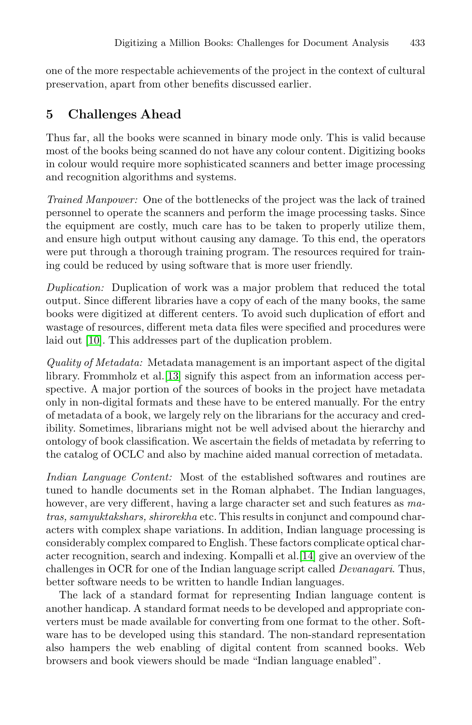one of the more respectable achievements of the project in the context of cultural preservation, apart from other benefits discussed earlier.

### **5 Challenges Ahead**

Thus far, all the books were scanned in binary mode only. This is valid because most of the books being scanned do not have any colour content. Digitizing books in colour would require more sophisticated scanners and better image processing and recognition algorithms and systems.

Trained Manpower: One of the bottlenecks of the project was the lack of trained personnel to operate the scanners and perform the image processing tasks. Since the equipment are costly, much care has to be taken to properly utilize them, and ensure high output without causing any damage. To this end, the operators were put through a thorough training program. The resources required for training could be reduced by using software that is more user friendly.

Dupli[catio](#page-11-5)n: Duplication of work was a major problem that reduced the total output. Since different libraries have a copy of each of the many books, the same books were digitized at different centers. To avoid such duplication of effort and wastage of resources, different meta data files were specified and procedures were laid out [10]. This addresses part of the duplication problem.

Quality of Metadata: Metadata management is an important aspect of the digital library. Frommholz et al. [13] signify this aspect from an information access perspective. A major portion of the sources of books in the project have metadata only in non-digital formats and these have to be entered manually. For the entry of metadata of a book, we largely rely on the librarians for the accuracy and credibility. Sometimes, librarians might not be well advised about the hierarchy and ontology of book classification. We ascertain the fields of metadata by referring to the catalog of OCLC and also by [mach](#page-11-6)ine aided manual correction of metadata.

Indian Language Content: Most of the established softwares and routines are tuned to handle documents set in the Roman alphabet. The Indian languages, however, are very different, having a large character set and such features as  $ma$ tras, samyuktakshars, shirorekha etc. This results in conjunct and compound characters with complex shape variations. In addition, Indian language processing is considerably complex compared to English. These factors complicate optical character recognition, search and indexing. Kompalli et al.[14] give an overview of the challenges in OCR for one of the Indian language script called Devanagari. Thus, better software needs to be written to handle Indian languages.

The lack of a standard format for representing Indian language content is another handicap. A standard format needs to be developed and appropriate converters must be made available for converting from one format to the other. Software has to be developed using this standard. The non-standard representation also hampers the web enabling of digital content from scanned books. Web browsers and book viewers should be made "Indian language enabled".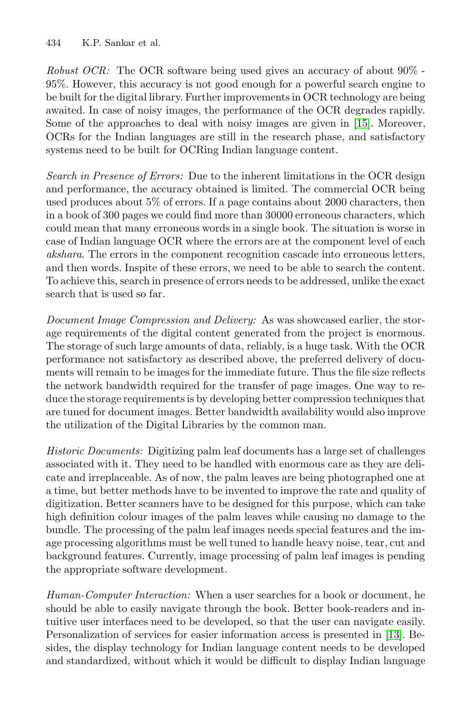Robust OCR: The OCR software being used gives an accuracy of about 90% - 95%. However, this accuracy is not good enough for a powerful search engine to be built for the digital library. Further improvements in OCR technology are being awaited. In case of noisy images, the performance of the OCR degrades rapidly. Some of the approaches to deal with noisy images are given in [15]. Moreover, OCRs for the Indian languages are still in the research phase, and satisfactory systems need to be built for OCRing Indian language content.

Search in Presence of Errors: Due to the inherent limitations in the OCR design and performance, the accuracy obtained is limited. The commercial OCR being used produces about 5% of errors. If a page contains about 2000 characters, then in a book of 300 pages we could find more than 30000 erroneous characters, which could mean that many erroneous words in a single book. The situation is worse in case of Indian language OCR where the errors are at the component level of each akshara. The errors in the component recognition cascade into erroneous letters, and then words. Inspite of these errors, we need to be able to search the content. To achieve this, search in presence of errors needs to be addressed, unlike the exact search that is used so far.

Document Image Compression and Delivery: As was showcased earlier, the storage requirements of the digital content generated from the project is enormous. The storage of such large amounts of data, reliably, is a huge task. With the OCR performance not satisfactory as described above, the preferred delivery of documents will remain to be images for the immediate future. Thus the file size reflects the network bandwidth required for the transfer of page images. One way to reduce the storage requirements is by developing better compression techniques that are tuned for document images. Better bandwidth availability would also improve the utilization of the Digital Libraries by the common man.

Historic Documents: Digitizing palm leaf documents has a large set of challenges associated with it. They need to be handled with enormous care as they are delicate and irreplaceable. As of now, the palm leaves are being photographed one at a time, but better methods have to be invented to improve the rate and quality of digitization. Better scanners have to be designed for this purpose, which can take high definition colour images of the palm leaves while causing no damage to the bundle. The processing of the palm leaf images needs special features and the image processing algorithms must be well tuned to hand[le h](#page-11-5)eavy noise, tear, cut and background features. Currently, image processing of palm leaf images is pending the appropriate software development.

Human-Computer Interaction: When a user searches for a book or document, he should be able to easily navigate through the book. Better book-readers and intuitive user interfaces need to be developed, so that the user can navigate easily. Personalization of services for easier information access is presented in [13]. Besides, the display technology for Indian language content needs to be developed and standardized, without which it would be difficult to display Indian language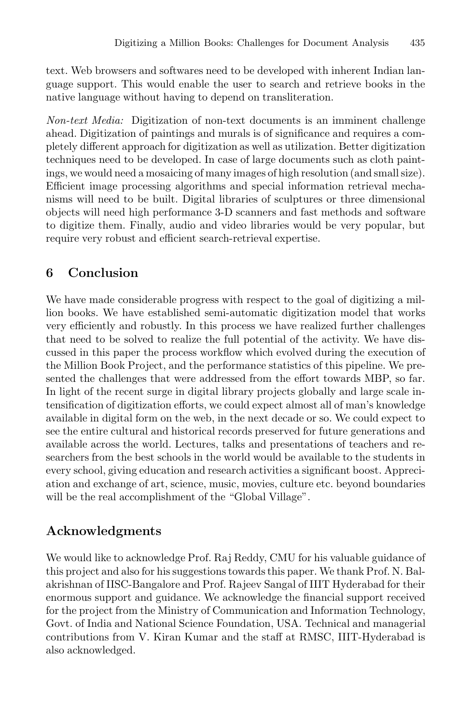text. Web browsers and softwares need to be developed with inherent Indian language support. This would enable the user to search and retrieve books in the native language without having to depend on transliteration.

Non-text Media: Digitization of non-text documents is an imminent challenge ahead. Digitization of paintings and murals is of significance and requires a completely different approach for digitization as well as utilization. Better digitization techniques need to be developed. In case of large documents such as cloth paintings, we would need a mosaicing of many images of high resolution (and small size). Efficient image processing algorithms and special information retrieval mechanisms will need to be built. Digital libraries of sculptures or three dimensional objects will need high performance 3-D scanners and fast methods and software to digitize them. Finally, audio and video libraries would be very popular, but require very robust and efficient search-retrieval expertise.

# **6 Conclusion**

We have made considerable progress with respect to the goal of digitizing a million books. We have established semi-automatic digitization model that works very efficiently and robustly. In this process we have realized further challenges that need to be solved to realize the full potential of the activity. We have discussed in this paper the process workflow which evolved during the execution of the Million Book Project, and the performance statistics of this pipeline. We presented the challenges that were addressed from the effort towards MBP, so far. In light of the recent surge in digital library projects globally and large scale intensification of digitization efforts, we could expect almost all of man's knowledge available in digital form on the web, in the next decade or so. We could expect to see the entire cultural and historical records preserved for future generations and available across the world. Lectures, talks and presentations of teachers and researchers from the best schools in the world would be available to the students in every school, giving education and research activities a significant boost. Appreciation and exchange of art, science, music, movies, culture etc. beyond boundaries will be the real accomplishment of the "Global Village".

# **Acknowledgments**

We would like to acknowledge Prof. Raj Reddy, CMU for his valuable guidance of this project and also for his suggestions towards this paper. We thank Prof. N. Balakrishnan of IISC-Bangalore and Prof. Rajeev Sangal of IIIT Hyderabad for their enormous support and guidance. We acknowledge the financial support received for the project from the Ministry of Communication and Information Technology, Govt. of India and National Science Foundation, USA. Technical and managerial contributions from V. Kiran Kumar and the staff at RMSC, IIIT-Hyderabad is also acknowledged.